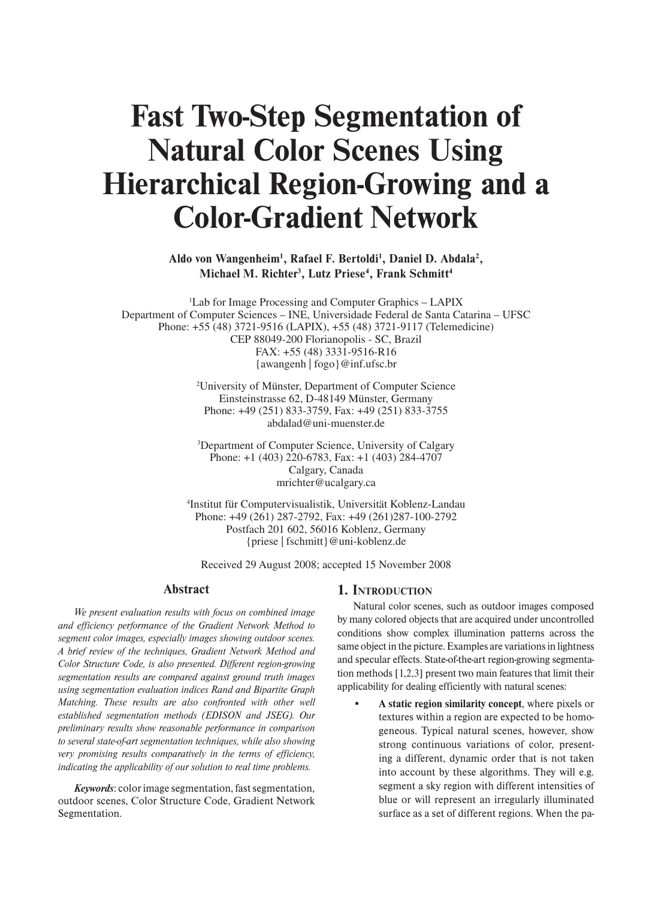# **Fast Two-Step Segmentation of Natural Color Scenes Using Hierarchical Region-Growing and a Color-Gradient Network**

Aldo von Wangenheim<sup>1</sup>, Rafael F. Bertoldi<sup>1</sup>, Daniel D. Abdala<sup>2</sup>, **Michael M. Richter3 , Lutz Priese4 , Frank Schmitt4**

1 Lab for Image Processing and Computer Graphics – LAPIX Department of Computer Sciences – INE, Universidade Federal de Santa Catarina – UFSC Phone: +55 (48) 3721-9516 (LAPIX), +55 (48) 3721-9117 (Telemedicine) CEP 88049-200 Florianopolis - SC, Brazil FAX: +55 (48) 3331-9516-R16 {awangenh | fogo}@inf.ufsc.br

> 2 University of Münster, Department of Computer Science Einsteinstrasse 62, D-48149 Münster, Germany Phone: +49 (251) 833-3759, Fax: +49 (251) 833-3755 abdalad@uni-muenster.de

3 Department of Computer Science, University of Calgary Phone: +1 (403) 220-6783, Fax: +1 (403) 284-4707 Calgary, Canada mrichter@ucalgary.ca

4 Institut für Computervisualistik, Universität Koblenz-Landau Phone: +49 (261) 287-2792, Fax: +49 (261)287-100-2792 Postfach 201 602, 56016 Koblenz, Germany {priese | fschmitt}@uni-koblenz.de

Received 29 August 2008; accepted 15 November 2008

#### **Abstract**

*We present evaluation results with focus on combined image and efficiency performance of the Gradient Network Method to segment color images, especially images showing outdoor scenes. A brief review of the techniques, Gradient Network Method and Color Structure Code, is also presented. Different region-growing segmentation results are compared against ground truth images using segmentation evaluation indices Rand and Bipartite Graph Matching. These results are also confronted with other well established segmentation methods (EDISON and JSEG). Our preliminary results show reasonable performance in comparison to several state-of-art segmentation techniques, while also showing very promising results comparatively in the terms of efficiency, indicating the applicability of our solution to real time problems.*

*Keywords*: color image segmentation, fast segmentation, outdoor scenes, Color Structure Code, Gradient Network Segmentation.

## **1. INTRODUCTION**

Natural color scenes, such as outdoor images composed by many colored objects that are acquired under uncontrolled conditions show complex illumination patterns across the same object in the picture. Examples are variations in lightness and specular effects. State-of-the-art region-growing segmentation methods [1,2,3] present two main features that limit their applicability for dealing efficiently with natural scenes:

A static region similarity concept, where pixels or textures within a region are expected to be homogeneous. Typical natural scenes, however, show strong continuous variations of color, presenting a different, dynamic order that is not taken into account by these algorithms. They will e.g. segment a sky region with different intensities of blue or will represent an irregularly illuminated surface as a set of different regions. When the pa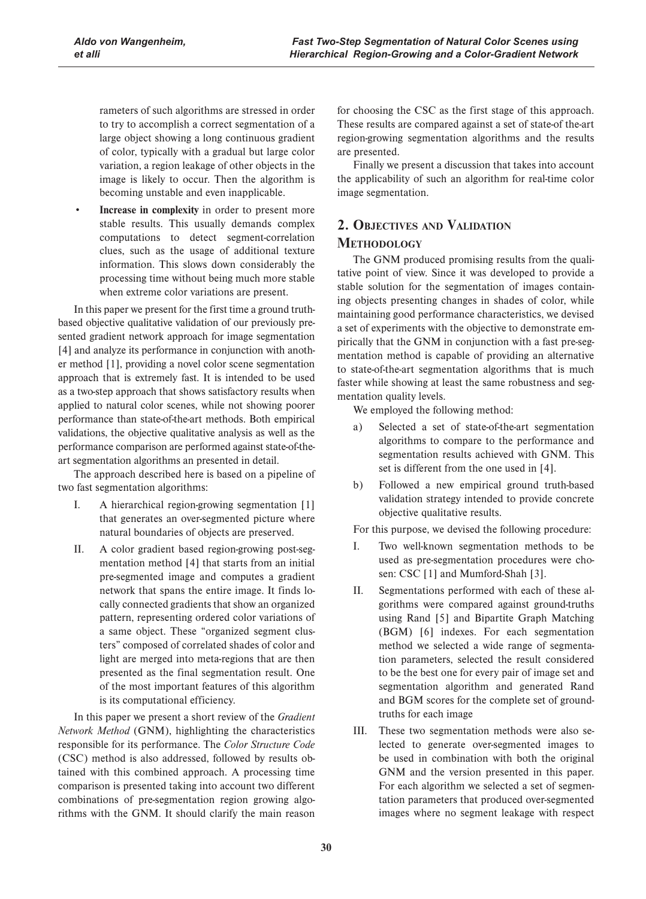rameters of such algorithms are stressed in order to try to accomplish a correct segmentation of a large object showing a long continuous gradient of color, typically with a gradual but large color variation, a region leakage of other objects in the image is likely to occur. Then the algorithm is becoming unstable and even inapplicable.

**Increase in complexity** in order to present more stable results. This usually demands complex computations to detect segment-correlation clues, such as the usage of additional texture information. This slows down considerably the processing time without being much more stable when extreme color variations are present.

In this paper we present for the first time a ground truthbased objective qualitative validation of our previously presented gradient network approach for image segmentation [4] and analyze its performance in conjunction with another method [1], providing a novel color scene segmentation approach that is extremely fast. It is intended to be used as a two-step approach that shows satisfactory results when applied to natural color scenes, while not showing poorer performance than state-of-the-art methods. Both empirical validations, the objective qualitative analysis as well as the performance comparison are performed against state-of-theart segmentation algorithms an presented in detail.

The approach described here is based on a pipeline of two fast segmentation algorithms:

- I. A hierarchical region-growing segmentation [1] that generates an over-segmented picture where natural boundaries of objects are preserved.
- II. A color gradient based region-growing post-segmentation method [4] that starts from an initial pre-segmented image and computes a gradient network that spans the entire image. It finds locally connected gradients that show an organized pattern, representing ordered color variations of a same object. These "organized segment clusters" composed of correlated shades of color and light are merged into meta-regions that are then presented as the final segmentation result. One of the most important features of this algorithm is its computational efficiency.

In this paper we present a short review of the *Gradient Network Method* (GNM), highlighting the characteristics responsible for its performance. The *Color Structure Code* (CSC) method is also addressed, followed by results obtained with this combined approach. A processing time comparison is presented taking into account two different combinations of pre-segmentation region growing algorithms with the GNM. It should clarify the main reason

for choosing the CSC as the first stage of this approach. These results are compared against a set of state-of the-art region-growing segmentation algorithms and the results are presented.

Finally we present a discussion that takes into account the applicability of such an algorithm for real-time color image segmentation.

# **2. OBJECTIVES AND VALIDATION METHODOLOGY**

The GNM produced promising results from the qualitative point of view. Since it was developed to provide a stable solution for the segmentation of images containing objects presenting changes in shades of color, while maintaining good performance characteristics, we devised a set of experiments with the objective to demonstrate empirically that the GNM in conjunction with a fast pre-segmentation method is capable of providing an alternative to state-of-the-art segmentation algorithms that is much faster while showing at least the same robustness and segmentation quality levels.

We employed the following method:

- a) Selected a set of state-of-the-art segmentation algorithms to compare to the performance and segmentation results achieved with GNM. This set is different from the one used in [4].
- b) Followed a new empirical ground truth-based validation strategy intended to provide concrete objective qualitative results.

For this purpose, we devised the following procedure:

- I. Two well-known segmentation methods to be used as pre-segmentation procedures were chosen: CSC [1] and Mumford-Shah [3].
- II. Segmentations performed with each of these algorithms were compared against ground-truths using Rand [5] and Bipartite Graph Matching (BGM) [6] indexes. For each segmentation method we selected a wide range of segmentation parameters, selected the result considered to be the best one for every pair of image set and segmentation algorithm and generated Rand and BGM scores for the complete set of groundtruths for each image
- III. These two segmentation methods were also selected to generate over-segmented images to be used in combination with both the original GNM and the version presented in this paper. For each algorithm we selected a set of segmentation parameters that produced over-segmented images where no segment leakage with respect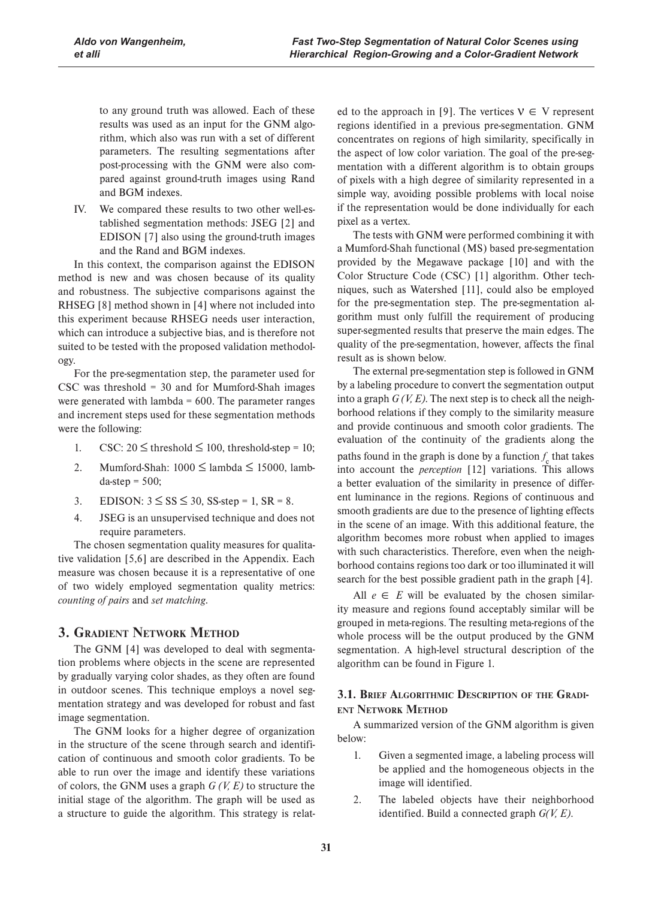to any ground truth was allowed. Each of these results was used as an input for the GNM algorithm, which also was run with a set of different parameters. The resulting segmentations after post-processing with the GNM were also compared against ground-truth images using Rand and BGM indexes.

IV. We compared these results to two other well-established segmentation methods: JSEG [2] and EDISON [7] also using the ground-truth images and the Rand and BGM indexes.

In this context, the comparison against the EDISON method is new and was chosen because of its quality and robustness. The subjective comparisons against the RHSEG [8] method shown in [4] where not included into this experiment because RHSEG needs user interaction, which can introduce a subjective bias, and is therefore not suited to be tested with the proposed validation methodology.

For the pre-segmentation step, the parameter used for CSC was threshold = 30 and for Mumford-Shah images were generated with lambda  $= 600$ . The parameter ranges and increment steps used for these segmentation methods were the following:

- 1. CSC:  $20 \leq$  threshold  $\leq 100$ , threshold-step = 10;
- 2. Mumford-Shah:  $1000 \leq$  lambda  $\leq 15000$ , lamb $da$ -step = 500;
- 3. EDISON:  $3 \leq S S \leq 30$ , SS-step = 1, SR = 8.
- 4. JSEG is an unsupervised technique and does not require parameters.

The chosen segmentation quality measures for qualitative validation [5,6] are described in the Appendix. Each measure was chosen because it is a representative of one of two widely employed segmentation quality metrics: *counting of pairs* and *set matching*.

# **3. GRADIENT NETWORK METHOD**

The GNM [4] was developed to deal with segmentation problems where objects in the scene are represented by gradually varying color shades, as they often are found in outdoor scenes. This technique employs a novel segmentation strategy and was developed for robust and fast image segmentation.

The GNM looks for a higher degree of organization in the structure of the scene through search and identification of continuous and smooth color gradients. To be able to run over the image and identify these variations of colors, the GNM uses a graph *G (V, E)* to structure the initial stage of the algorithm. The graph will be used as a structure to guide the algorithm. This strategy is relat-

ed to the approach in [9]. The vertices  $V \in V$  represent regions identified in a previous pre-segmentation. GNM concentrates on regions of high similarity, specifically in the aspect of low color variation. The goal of the pre-segmentation with a different algorithm is to obtain groups of pixels with a high degree of similarity represented in a simple way, avoiding possible problems with local noise if the representation would be done individually for each pixel as a vertex.

The tests with GNM were performed combining it with a Mumford-Shah functional (MS) based pre-segmentation provided by the Megawave package [10] and with the Color Structure Code (CSC) [1] algorithm. Other techniques, such as Watershed [11], could also be employed for the pre-segmentation step. The pre-segmentation algorithm must only fulfill the requirement of producing super-segmented results that preserve the main edges. The quality of the pre-segmentation, however, affects the final result as is shown below.

The external pre-segmentation step is followed in GNM by a labeling procedure to convert the segmentation output into a graph *G (V, E)*. The next step is to check all the neighborhood relations if they comply to the similarity measure and provide continuous and smooth color gradients. The evaluation of the continuity of the gradients along the paths found in the graph is done by a function  $f_{\rm c}$  that takes into account the *perception* [12] variations. This allows a better evaluation of the similarity in presence of different luminance in the regions. Regions of continuous and smooth gradients are due to the presence of lighting effects in the scene of an image. With this additional feature, the algorithm becomes more robust when applied to images with such characteristics. Therefore, even when the neighborhood contains regions too dark or too illuminated it will search for the best possible gradient path in the graph [4].

All  $e \in E$  will be evaluated by the chosen similarity measure and regions found acceptably similar will be grouped in meta-regions. The resulting meta-regions of the whole process will be the output produced by the GNM segmentation. A high-level structural description of the algorithm can be found in Figure 1.

## **3.1. BRIEF ALGORITHMIC DESCRIPTION OF THE GRADI-ENT NETWORK METHOD**

A summarized version of the GNM algorithm is given below:

- 1. Given a segmented image, a labeling process will be applied and the homogeneous objects in the image will identified.
- 2. The labeled objects have their neighborhood identified. Build a connected graph *G(V, E)*.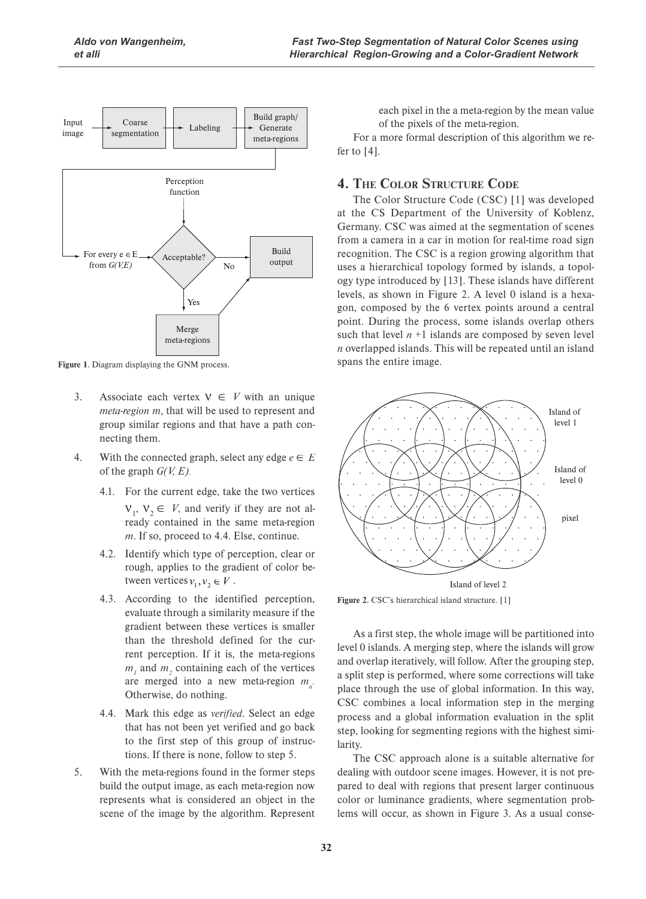

**Figure 1**. Diagram displaying the GNM process.

- 3. Associate each vertex  $V \in V$  with an unique *meta-region m*, that will be used to represent and group similar regions and that have a path connecting them.
- 4. With the connected graph, select any edge  $e \in E$ of the graph *G(V, E)*.
	- 4.1. For the current edge, take the two vertices  $V_1$ ,  $V_2 \in V$ , and verify if they are not already contained in the same meta-region *m*. If so, proceed to 4.4. Else, continue.
	- 4.2. Identify which type of perception, clear or rough, applies to the gradient of color between vertices  $v_1, v_2 \in V$ .
	- 4.3. According to the identified perception, evaluate through a similarity measure if the gradient between these vertices is smaller than the threshold defined for the current perception. If it is, the meta-regions  $m<sub>1</sub>$  and  $m<sub>2</sub>$  containing each of the vertices are merged into a new meta-region  $m<sub>n</sub>$ . Otherwise, do nothing.
	- 4.4. Mark this edge as *verified*. Select an edge that has not been yet verified and go back to the first step of this group of instructions. If there is none, follow to step 5.
- 5. With the meta-regions found in the former steps build the output image, as each meta-region now represents what is considered an object in the scene of the image by the algorithm. Represent

each pixel in the a meta-region by the mean value of the pixels of the meta-region.

For a more formal description of this algorithm we refer to [4].

# **4. THE COLOR STRUCTURE CODE**

The Color Structure Code (CSC) [1] was developed at the CS Department of the University of Koblenz, Germany. CSC was aimed at the segmentation of scenes from a camera in a car in motion for real-time road sign recognition. The CSC is a region growing algorithm that uses a hierarchical topology formed by islands, a topology type introduced by [13]. These islands have different levels, as shown in Figure 2. A level 0 island is a hexagon, composed by the 6 vertex points around a central point. During the process, some islands overlap others such that level  $n + 1$  islands are composed by seven level *n* overlapped islands. This will be repeated until an island spans the entire image.



**Figure 2**. CSC's hierarchical island structure. [1]

As a first step, the whole image will be partitioned into level 0 islands. A merging step, where the islands will grow and overlap iteratively, will follow. After the grouping step, a split step is performed, where some corrections will take place through the use of global information. In this way, CSC combines a local information step in the merging process and a global information evaluation in the split step, looking for segmenting regions with the highest similarity.

The CSC approach alone is a suitable alternative for dealing with outdoor scene images. However, it is not prepared to deal with regions that present larger continuous color or luminance gradients, where segmentation problems will occur, as shown in Figure 3. As a usual conse-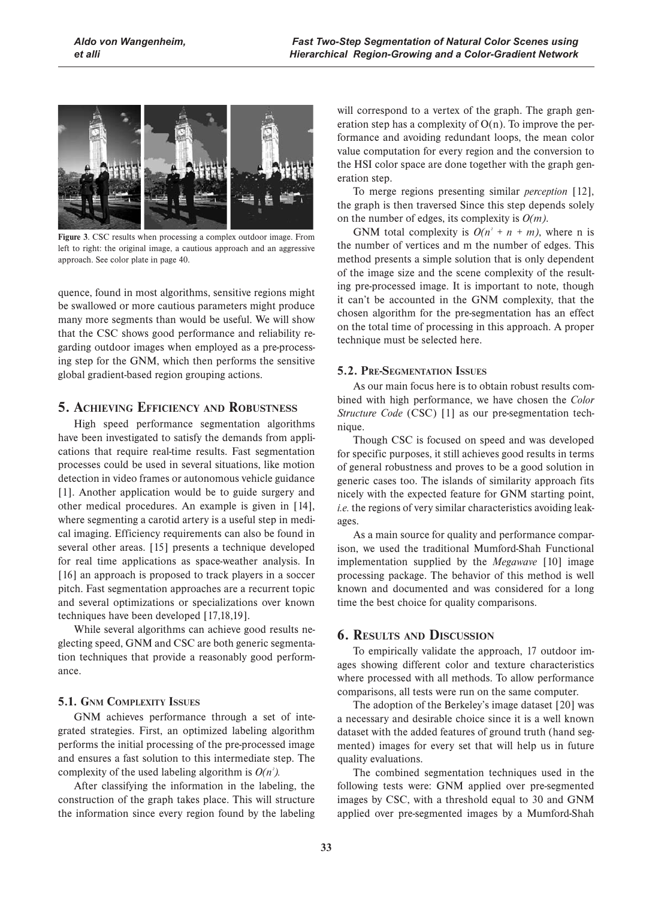

**Figure 3**. CSC results when processing a complex outdoor image. From left to right: the original image, a cautious approach and an aggressive approach. See color plate in page 40.

quence, found in most algorithms, sensitive regions might be swallowed or more cautious parameters might produce many more segments than would be useful. We will show that the CSC shows good performance and reliability regarding outdoor images when employed as a pre-processing step for the GNM, which then performs the sensitive global gradient-based region grouping actions.

# **5. ACHIEVING EFFICIENCY AND ROBUSTNESS**

High speed performance segmentation algorithms have been investigated to satisfy the demands from applications that require real-time results. Fast segmentation processes could be used in several situations, like motion detection in video frames or autonomous vehicle guidance [1]. Another application would be to guide surgery and other medical procedures. An example is given in [14], where segmenting a carotid artery is a useful step in medical imaging. Efficiency requirements can also be found in several other areas. [15] presents a technique developed for real time applications as space-weather analysis. In [16] an approach is proposed to track players in a soccer pitch. Fast segmentation approaches are a recurrent topic and several optimizations or specializations over known techniques have been developed [17,18,19].

While several algorithms can achieve good results neglecting speed, GNM and CSC are both generic segmentation techniques that provide a reasonably good performance.

## **5.1. GNM COMPLEXITY ISSUES**

GNM achieves performance through a set of integrated strategies. First, an optimized labeling algorithm performs the initial processing of the pre-processed image and ensures a fast solution to this intermediate step. The complexity of the used labeling algorithm is  $O(n^2)$ .

After classifying the information in the labeling, the construction of the graph takes place. This will structure the information since every region found by the labeling

will correspond to a vertex of the graph. The graph generation step has a complexity of  $O(n)$ . To improve the performance and avoiding redundant loops, the mean color value computation for every region and the conversion to the HSI color space are done together with the graph generation step.

To merge regions presenting similar *perception* [12], the graph is then traversed Since this step depends solely on the number of edges, its complexity is *O(m)*.

GNM total complexity is  $O(n^2 + n + m)$ , where n is the number of vertices and m the number of edges. This method presents a simple solution that is only dependent of the image size and the scene complexity of the resulting pre-processed image. It is important to note, though it can't be accounted in the GNM complexity, that the chosen algorithm for the pre-segmentation has an effect on the total time of processing in this approach. A proper technique must be selected here.

# **5.2. PRE-SEGMENTATION ISSUES**

As our main focus here is to obtain robust results combined with high performance, we have chosen the *Color Structure Code* (CSC) [1] as our pre-segmentation technique.

Though CSC is focused on speed and was developed for specific purposes, it still achieves good results in terms of general robustness and proves to be a good solution in generic cases too. The islands of similarity approach fits nicely with the expected feature for GNM starting point, *i.e.* the regions of very similar characteristics avoiding leakages.

As a main source for quality and performance comparison, we used the traditional Mumford-Shah Functional implementation supplied by the *Megawave* [10] image processing package. The behavior of this method is well known and documented and was considered for a long time the best choice for quality comparisons.

# **6. RESULTS AND DISCUSSION**

To empirically validate the approach, 17 outdoor images showing different color and texture characteristics where processed with all methods. To allow performance comparisons, all tests were run on the same computer.

The adoption of the Berkeley's image dataset [20] was a necessary and desirable choice since it is a well known dataset with the added features of ground truth (hand segmented) images for every set that will help us in future quality evaluations.

The combined segmentation techniques used in the following tests were: GNM applied over pre-segmented images by CSC, with a threshold equal to 30 and GNM applied over pre-segmented images by a Mumford-Shah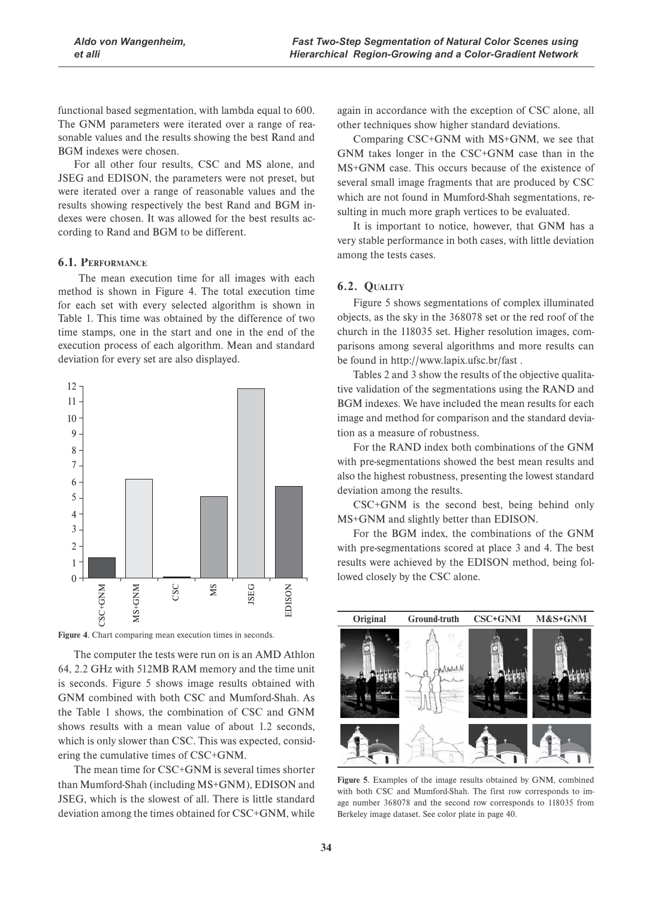functional based segmentation, with lambda equal to 600. The GNM parameters were iterated over a range of reasonable values and the results showing the best Rand and BGM indexes were chosen.

For all other four results, CSC and MS alone, and JSEG and EDISON, the parameters were not preset, but were iterated over a range of reasonable values and the results showing respectively the best Rand and BGM indexes were chosen. It was allowed for the best results according to Rand and BGM to be different.

#### **6.1. PERFORMANCE**

 The mean execution time for all images with each method is shown in Figure 4. The total execution time for each set with every selected algorithm is shown in Table 1. This time was obtained by the difference of two time stamps, one in the start and one in the end of the execution process of each algorithm. Mean and standard deviation for every set are also displayed.



**Figure 4**. Chart comparing mean execution times in seconds.

The computer the tests were run on is an AMD Athlon 64, 2.2 GHz with 512MB RAM memory and the time unit is seconds. Figure 5 shows image results obtained with GNM combined with both CSC and Mumford-Shah. As the Table 1 shows, the combination of CSC and GNM shows results with a mean value of about 1.2 seconds, which is only slower than CSC. This was expected, considering the cumulative times of CSC+GNM.

The mean time for CSC+GNM is several times shorter than Mumford-Shah (including MS+GNM), EDISON and JSEG, which is the slowest of all. There is little standard deviation among the times obtained for CSC+GNM, while

again in accordance with the exception of CSC alone, all other techniques show higher standard deviations.

Comparing CSC+GNM with MS+GNM, we see that GNM takes longer in the CSC+GNM case than in the MS+GNM case. This occurs because of the existence of several small image fragments that are produced by CSC which are not found in Mumford-Shah segmentations, resulting in much more graph vertices to be evaluated.

It is important to notice, however, that GNM has a very stable performance in both cases, with little deviation among the tests cases.

## **6.2. QUALITY**

Figure 5 shows segmentations of complex illuminated objects, as the sky in the 368078 set or the red roof of the church in the 118035 set. Higher resolution images, comparisons among several algorithms and more results can be found in http://www.lapix.ufsc.br/fast .

Tables 2 and 3 show the results of the objective qualitative validation of the segmentations using the RAND and BGM indexes. We have included the mean results for each image and method for comparison and the standard deviation as a measure of robustness.

For the RAND index both combinations of the GNM with pre-segmentations showed the best mean results and also the highest robustness, presenting the lowest standard deviation among the results.

CSC+GNM is the second best, being behind only MS+GNM and slightly better than EDISON.

For the BGM index, the combinations of the GNM with pre-segmentations scored at place 3 and 4. The best results were achieved by the EDISON method, being followed closely by the CSC alone.



**Figure 5**. Examples of the image results obtained by GNM, combined with both CSC and Mumford-Shah. The first row corresponds to image number 368078 and the second row corresponds to 118035 from Berkeley image dataset. See color plate in page 40.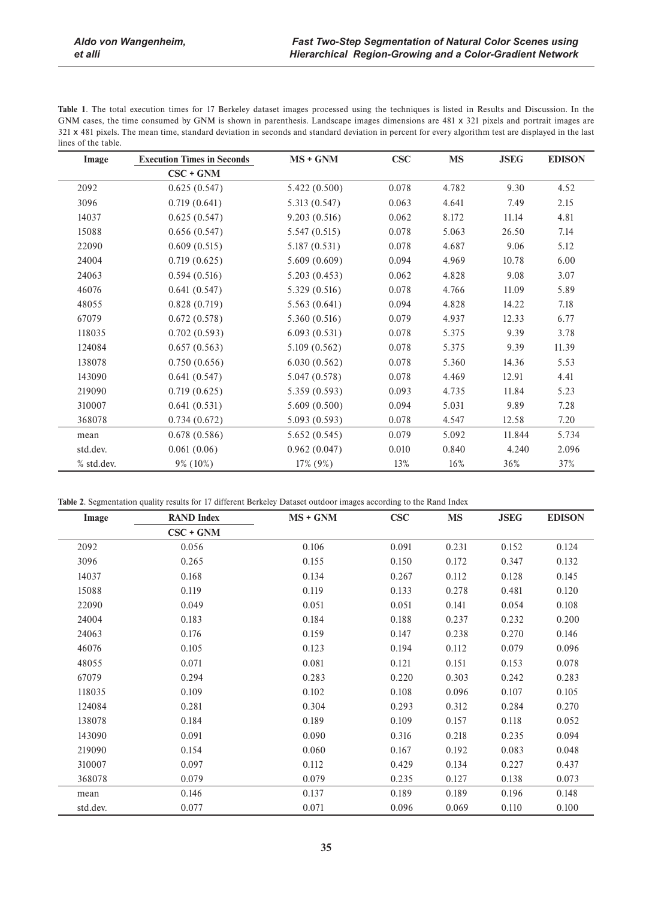**Table 1**. The total execution times for 17 Berkeley dataset images processed using the techniques is listed in Results and Discussion. In the GNM cases, the time consumed by GNM is shown in parenthesis. Landscape images dimensions are 481 x 321 pixels and portrait images are x 481 pixels. The mean time, standard deviation in seconds and standard deviation in percent for every algorithm test are displayed in the last lines of the table.

| Image      | <b>Execution Times in Seconds</b> | $MS + GNM$    | <b>CSC</b> | <b>MS</b> | <b>JSEG</b> | <b>EDISON</b> |
|------------|-----------------------------------|---------------|------------|-----------|-------------|---------------|
|            | $CSC + GNM$                       |               |            |           |             |               |
| 2092       | 0.625(0.547)                      | 5.422 (0.500) | 0.078      | 4.782     | 9.30        | 4.52          |
| 3096       | 0.719(0.641)                      | 5.313 (0.547) | 0.063      | 4.641     | 7.49        | 2.15          |
| 14037      | 0.625(0.547)                      | 9.203(0.516)  | 0.062      | 8.172     | 11.14       | 4.81          |
| 15088      | 0.656(0.547)                      | 5.547(0.515)  | 0.078      | 5.063     | 26.50       | 7.14          |
| 22090      | 0.609(0.515)                      | 5.187(0.531)  | 0.078      | 4.687     | 9.06        | 5.12          |
| 24004      | 0.719(0.625)                      | 5.609(0.609)  | 0.094      | 4.969     | 10.78       | 6.00          |
| 24063      | 0.594(0.516)                      | 5.203(0.453)  | 0.062      | 4.828     | 9.08        | 3.07          |
| 46076      | 0.641(0.547)                      | 5.329 (0.516) | 0.078      | 4.766     | 11.09       | 5.89          |
| 48055      | 0.828(0.719)                      | 5.563(0.641)  | 0.094      | 4.828     | 14.22       | 7.18          |
| 67079      | 0.672(0.578)                      | 5.360(0.516)  | 0.079      | 4.937     | 12.33       | 6.77          |
| 118035     | 0.702(0.593)                      | 6.093(0.531)  | 0.078      | 5.375     | 9.39        | 3.78          |
| 124084     | 0.657(0.563)                      | 5.109 (0.562) | 0.078      | 5.375     | 9.39        | 11.39         |
| 138078     | 0.750(0.656)                      | 6.030(0.562)  | 0.078      | 5.360     | 14.36       | 5.53          |
| 143090     | 0.641(0.547)                      | 5.047(0.578)  | 0.078      | 4.469     | 12.91       | 4.41          |
| 219090     | 0.719(0.625)                      | 5.359 (0.593) | 0.093      | 4.735     | 11.84       | 5.23          |
| 310007     | 0.641(0.531)                      | 5.609(0.500)  | 0.094      | 5.031     | 9.89        | 7.28          |
| 368078     | 0.734(0.672)                      | 5.093(0.593)  | 0.078      | 4.547     | 12.58       | 7.20          |
| mean       | 0.678(0.586)                      | 5.652(0.545)  | 0.079      | 5.092     | 11.844      | 5.734         |
| std.dev.   | 0.061(0.06)                       | 0.962(0.047)  | 0.010      | 0.840     | 4.240       | 2.096         |
| % std.dev. | 9% (10%)                          | 17% (9%)      | 13%        | 16%       | 36%         | 37%           |

**Table 2**. Segmentation quality results for 17 different Berkeley Dataset outdoor images according to the Rand Index

| Image    | <b>RAND Index</b> | $MS + GNM$ | <b>CSC</b> | <b>MS</b> | <b>JSEG</b> | <b>EDISON</b> |
|----------|-------------------|------------|------------|-----------|-------------|---------------|
|          | $CSC + GNM$       |            |            |           |             |               |
| 2092     | 0.056             | 0.106      | 0.091      | 0.231     | 0.152       | 0.124         |
| 3096     | 0.265             | 0.155      | 0.150      | 0.172     | 0.347       | 0.132         |
| 14037    | 0.168             | 0.134      | 0.267      | 0.112     | 0.128       | 0.145         |
| 15088    | 0.119             | 0.119      | 0.133      | 0.278     | 0.481       | 0.120         |
| 22090    | 0.049             | 0.051      | 0.051      | 0.141     | 0.054       | 0.108         |
| 24004    | 0.183             | 0.184      | 0.188      | 0.237     | 0.232       | 0.200         |
| 24063    | 0.176             | 0.159      | 0.147      | 0.238     | 0.270       | 0.146         |
| 46076    | 0.105             | 0.123      | 0.194      | 0.112     | 0.079       | 0.096         |
| 48055    | 0.071             | 0.081      | 0.121      | 0.151     | 0.153       | 0.078         |
| 67079    | 0.294             | 0.283      | 0.220      | 0.303     | 0.242       | 0.283         |
| 118035   | 0.109             | 0.102      | 0.108      | 0.096     | 0.107       | 0.105         |
| 124084   | 0.281             | 0.304      | 0.293      | 0.312     | 0.284       | 0.270         |
| 138078   | 0.184             | 0.189      | 0.109      | 0.157     | 0.118       | 0.052         |
| 143090   | 0.091             | 0.090      | 0.316      | 0.218     | 0.235       | 0.094         |
| 219090   | 0.154             | 0.060      | 0.167      | 0.192     | 0.083       | 0.048         |
| 310007   | 0.097             | 0.112      | 0.429      | 0.134     | 0.227       | 0.437         |
| 368078   | 0.079             | 0.079      | 0.235      | 0.127     | 0.138       | 0.073         |
| mean     | 0.146             | 0.137      | 0.189      | 0.189     | 0.196       | 0.148         |
| std.dev. | 0.077             | 0.071      | 0.096      | 0.069     | 0.110       | 0.100         |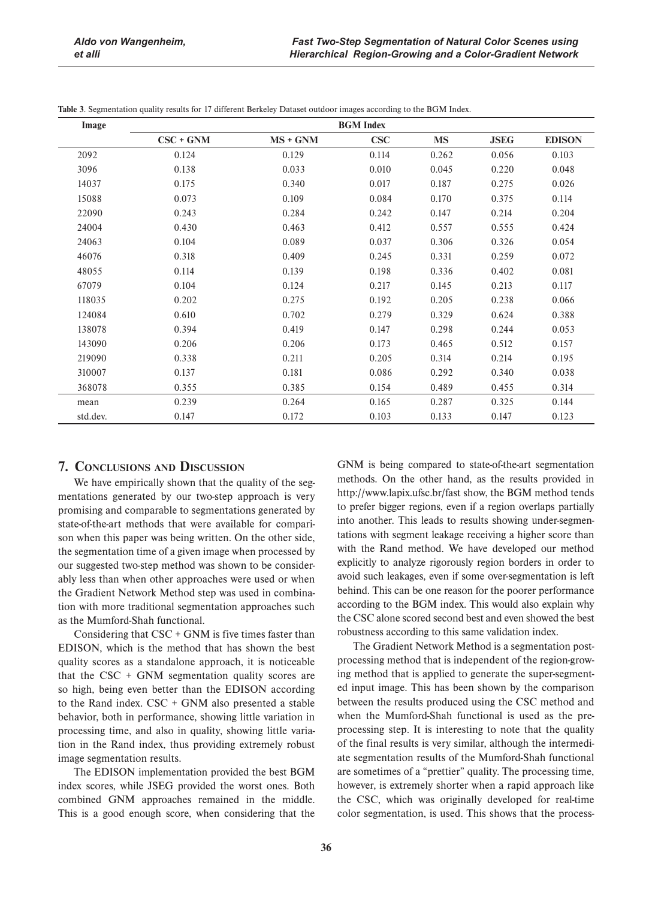| Image    | <b>BGM</b> Index |          |            |           |             |               |
|----------|------------------|----------|------------|-----------|-------------|---------------|
|          | $CSC + GNM$      | MS + GNM | <b>CSC</b> | <b>MS</b> | <b>JSEG</b> | <b>EDISON</b> |
| 2092     | 0.124            | 0.129    | 0.114      | 0.262     | 0.056       | 0.103         |
| 3096     | 0.138            | 0.033    | 0.010      | 0.045     | 0.220       | 0.048         |
| 14037    | 0.175            | 0.340    | 0.017      | 0.187     | 0.275       | 0.026         |
| 15088    | 0.073            | 0.109    | 0.084      | 0.170     | 0.375       | 0.114         |
| 22090    | 0.243            | 0.284    | 0.242      | 0.147     | 0.214       | 0.204         |
| 24004    | 0.430            | 0.463    | 0.412      | 0.557     | 0.555       | 0.424         |
| 24063    | 0.104            | 0.089    | 0.037      | 0.306     | 0.326       | 0.054         |
| 46076    | 0.318            | 0.409    | 0.245      | 0.331     | 0.259       | 0.072         |
| 48055    | 0.114            | 0.139    | 0.198      | 0.336     | 0.402       | 0.081         |
| 67079    | 0.104            | 0.124    | 0.217      | 0.145     | 0.213       | 0.117         |
| 118035   | 0.202            | 0.275    | 0.192      | 0.205     | 0.238       | 0.066         |
| 124084   | 0.610            | 0.702    | 0.279      | 0.329     | 0.624       | 0.388         |
| 138078   | 0.394            | 0.419    | 0.147      | 0.298     | 0.244       | 0.053         |
| 143090   | 0.206            | 0.206    | 0.173      | 0.465     | 0.512       | 0.157         |
| 219090   | 0.338            | 0.211    | 0.205      | 0.314     | 0.214       | 0.195         |
| 310007   | 0.137            | 0.181    | 0.086      | 0.292     | 0.340       | 0.038         |
| 368078   | 0.355            | 0.385    | 0.154      | 0.489     | 0.455       | 0.314         |
| mean     | 0.239            | 0.264    | 0.165      | 0.287     | 0.325       | 0.144         |
| std.dev. | 0.147            | 0.172    | 0.103      | 0.133     | 0.147       | 0.123         |

**Table 3**. Segmentation quality results for 17 different Berkeley Dataset outdoor images according to the BGM Index.

# **7. CONCLUSIONS AND DISCUSSION**

We have empirically shown that the quality of the segmentations generated by our two-step approach is very promising and comparable to segmentations generated by state-of-the-art methods that were available for comparison when this paper was being written. On the other side, the segmentation time of a given image when processed by our suggested two-step method was shown to be considerably less than when other approaches were used or when the Gradient Network Method step was used in combination with more traditional segmentation approaches such as the Mumford-Shah functional.

Considering that  $CSC + GNM$  is five times faster than EDISON, which is the method that has shown the best quality scores as a standalone approach, it is noticeable that the  $CSC + GNM$  segmentation quality scores are so high, being even better than the EDISON according to the Rand index. CSC + GNM also presented a stable behavior, both in performance, showing little variation in processing time, and also in quality, showing little variation in the Rand index, thus providing extremely robust image segmentation results.

The EDISON implementation provided the best BGM index scores, while JSEG provided the worst ones. Both combined GNM approaches remained in the middle. This is a good enough score, when considering that the GNM is being compared to state-of-the-art segmentation methods. On the other hand, as the results provided in http://www.lapix.ufsc.br/fast show, the BGM method tends to prefer bigger regions, even if a region overlaps partially into another. This leads to results showing under-segmentations with segment leakage receiving a higher score than with the Rand method. We have developed our method explicitly to analyze rigorously region borders in order to avoid such leakages, even if some over-segmentation is left behind. This can be one reason for the poorer performance according to the BGM index. This would also explain why the CSC alone scored second best and even showed the best robustness according to this same validation index.

The Gradient Network Method is a segmentation postprocessing method that is independent of the region-growing method that is applied to generate the super-segmented input image. This has been shown by the comparison between the results produced using the CSC method and when the Mumford-Shah functional is used as the preprocessing step. It is interesting to note that the quality of the final results is very similar, although the intermediate segmentation results of the Mumford-Shah functional are sometimes of a "prettier" quality. The processing time, however, is extremely shorter when a rapid approach like the CSC, which was originally developed for real-time color segmentation, is used. This shows that the process-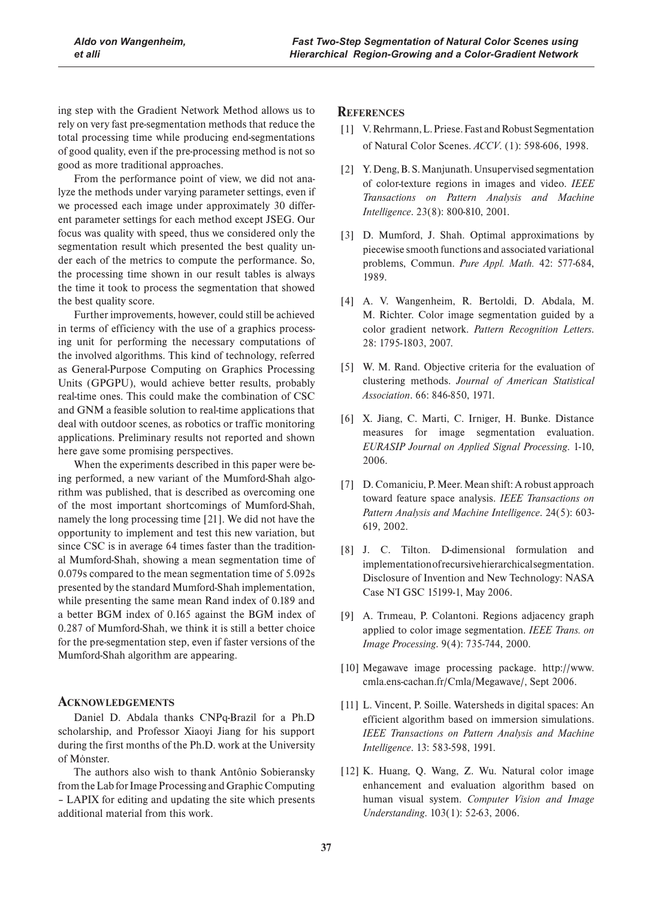ing step with the Gradient Network Method allows us to rely on very fast pre-segmentation methods that reduce the total processing time while producing end-segmentations of good quality, even if the pre-processing method is not so good as more traditional approaches.

From the performance point of view, we did not analyze the methods under varying parameter settings, even if we processed each image under approximately 30 different parameter settings for each method except JSEG. Our focus was quality with speed, thus we considered only the segmentation result which presented the best quality under each of the metrics to compute the performance. So, the processing time shown in our result tables is always the time it took to process the segmentation that showed the best quality score.

Further improvements, however, could still be achieved in terms of efficiency with the use of a graphics processing unit for performing the necessary computations of the involved algorithms. This kind of technology, referred as General-Purpose Computing on Graphics Processing Units (GPGPU), would achieve better results, probably real-time ones. This could make the combination of CSC and GNM a feasible solution to real-time applications that deal with outdoor scenes, as robotics or traffic monitoring applications. Preliminary results not reported and shown here gave some promising perspectives.

When the experiments described in this paper were being performed, a new variant of the Mumford-Shah algorithm was published, that is described as overcoming one of the most important shortcomings of Mumford-Shah, namely the long processing time [21]. We did not have the opportunity to implement and test this new variation, but since CSC is in average 64 times faster than the traditional Mumford-Shah, showing a mean segmentation time of 0.079s compared to the mean segmentation time of 5.092s presented by the standard Mumford-Shah implementation, while presenting the same mean Rand index of 0.189 and a better BGM index of 0.165 against the BGM index of 0.287 of Mumford-Shah, we think it is still a better choice for the pre-segmentation step, even if faster versions of the Mumford-Shah algorithm are appearing.

## **ACKNOWLEDGEMENTS**

Daniel D. Abdala thanks CNPq-Brazil for a Ph.D scholarship, and Professor Xiaoyi Jiang for his support during the first months of the Ph.D. work at the University of Monster.

The authors also wish to thank Antônio Sobieransky from the Lab for Image Processing and Graphic Computing – LAPIX for editing and updating the site which presents additional material from this work.

## **REFERENCES**

- [1] V. Rehrmann, L. Priese. Fast and Robust Segmentation of Natural Color Scenes. *ACCV*. (1): 598-606, 1998.
- [2] Y. Deng, B. S. Manjunath. Unsupervised segmentation of color-texture regions in images and video. *IEEE Transactions on Pattern Analysis and Machine Intelligence*. 23(8): 800-810, 2001.
- [3] D. Mumford, J. Shah. Optimal approximations by piecewise smooth functions and associated variational problems, Commun. *Pure Appl. Math.* 42: 577-684, 1989.
- [4] A. V. Wangenheim, R. Bertoldi, D. Abdala, M. M. Richter. Color image segmentation guided by a color gradient network. *Pattern Recognition Letters*. 28: 1795-1803, 2007.
- [5] W. M. Rand. Objective criteria for the evaluation of clustering methods. *Journal of American Statistical Association*. 66: 846-850, 1971.
- [6] X. Jiang, C. Marti, C. Irniger, H. Bunke. Distance measures for image segmentation evaluation. *EURASIP Journal on Applied Signal Processing*. 1-10, 2006.
- [7] D. Comaniciu, P. Meer. Mean shift: A robust approach toward feature space analysis. *IEEE Transactions on Pattern Analysis and Machine Intelligence*. 24(5): 603- 619, 2002.
- [8] J. C. Tilton. D-dimensional formulation and implementation of recursive hierarchical segmentation. Disclosure of Invention and New Technology: NASA Case N'I GSC 15199-1, May 2006.
- [9] A. Trimeau, P. Colantoni. Regions adjacency graph applied to color image segmentation. *IEEE Trans. on Image Processing*. 9(4): 735-744, 2000.
- [10] Megawave image processing package. http://www. cmla.ens-cachan.fr/Cmla/Megawave/, Sept 2006.
- [11] L. Vincent, P. Soille. Watersheds in digital spaces: An efficient algorithm based on immersion simulations. *IEEE Transactions on Pattern Analysis and Machine Intelligence*. 13: 583-598, 1991.
- [12] K. Huang, Q. Wang, Z. Wu. Natural color image enhancement and evaluation algorithm based on human visual system. *Computer Vision and Image Understanding*. 103(1): 52-63, 2006.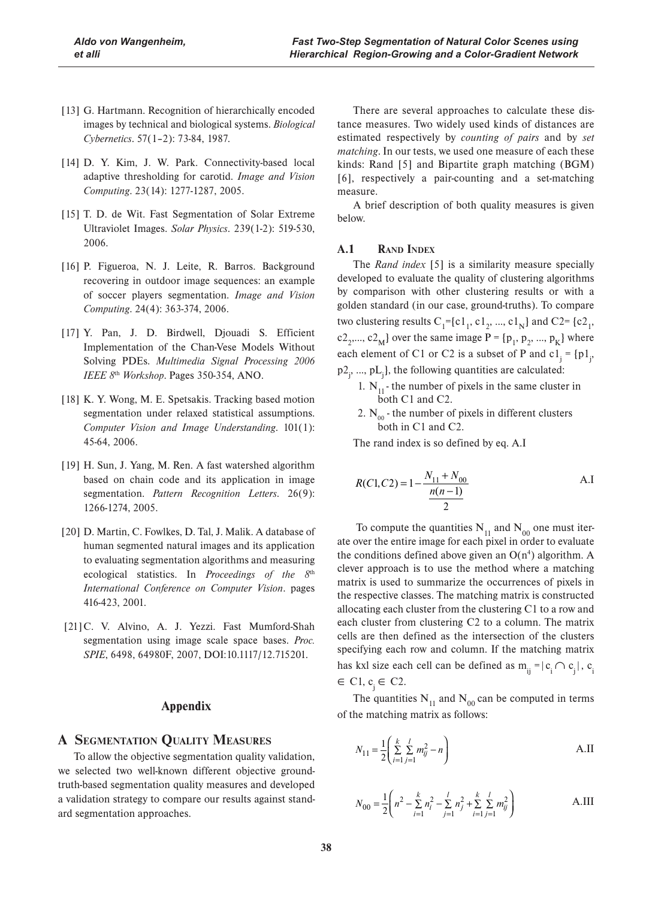- [13] G. Hartmann. Recognition of hierarchically encoded images by technical and biological systems. *Biological Cybernetics*. 57(1–2): 73-84, 1987.
- [14] D. Y. Kim, J. W. Park. Connectivity-based local adaptive thresholding for carotid. *Image and Vision Computing*. 23(14): 1277-1287, 2005.
- [15] T. D. de Wit. Fast Segmentation of Solar Extreme Ultraviolet Images. *Solar Physics*. 239(1-2): 519-530, 2006.
- [16] P. Figueroa, N. J. Leite, R. Barros. Background recovering in outdoor image sequences: an example of soccer players segmentation. *Image and Vision Computing*. 24(4): 363-374, 2006.
- [17] Y. Pan, J. D. Birdwell, Djouadi S. Efficient Implementation of the Chan-Vese Models Without Solving PDEs. *Multimedia Signal Processing 2006 IEEE 8*th *Workshop*. Pages 350-354, ANO.
- [18] K. Y. Wong, M. E. Spetsakis. Tracking based motion segmentation under relaxed statistical assumptions. *Computer Vision and Image Understanding*. 101(1): 45-64, 2006.
- [19] H. Sun, J. Yang, M. Ren. A fast watershed algorithm based on chain code and its application in image segmentation. *Pattern Recognition Letters*. 26(9): 1266-1274, 2005.
- [20] D. Martin, C. Fowlkes, D. Tal, J. Malik. A database of human segmented natural images and its application to evaluating segmentation algorithms and measuring ecological statistics. In *Proceedings of the 8*th *International Conference on Computer Vision*. pages 416-423, 2001.
- [21]C. V. Alvino, A. J. Yezzi. Fast Mumford-Shah segmentation using image scale space bases. *Proc. SPIE*, 6498, 64980F, 2007, DOI:10.1117/12.715201.

#### **Appendix**

## **A SEGMENTATION QUALITY MEASURES**

To allow the objective segmentation quality validation, we selected two well-known different objective groundtruth-based segmentation quality measures and developed a validation strategy to compare our results against standard segmentation approaches.

There are several approaches to calculate these distance measures. Two widely used kinds of distances are estimated respectively by *counting of pairs* and by *set matching*. In our tests, we used one measure of each these kinds: Rand [5] and Bipartite graph matching (BGM) [6], respectively a pair-counting and a set-matching measure.

A brief description of both quality measures is given below.

#### **A.1 RAND INDEX**

The *Rand index* [5] is a similarity measure specially developed to evaluate the quality of clustering algorithms by comparison with other clustering results or with a golden standard (in our case, ground-truths). To compare two clustering results  $C_1$ ={c1<sub>1</sub>, c1<sub>2</sub>, ..., c1<sub>N</sub>} and C2={c2<sub>1</sub>, c2<sub>2</sub>,..., c2<sub>M</sub>} over the same image P =  $[p_1, p_2, ..., p_K]$  where each element of C1 or C2 is a subset of P and  $c1_j = {p1_j}$  $p2_j$ , ...,  $pL_j$ , the following quantities are calculated:

- 1.  $N_{11}$  the number of pixels in the same cluster in both C1 and C2.
- 2.  $N_{00}$  the number of pixels in different clusters both in C1 and C2.
- The rand index is so defined by eq. A.I

$$
R(C1, C2) = 1 - \frac{N_{11} + N_{00}}{\frac{n(n-1)}{2}}
$$
 A.I

To compute the quantities  $N_{11}$  and  $N_{00}$  one must iterate over the entire image for each pixel in order to evaluate the conditions defined above given an  $O(n^4)$  algorithm. A clever approach is to use the method where a matching matrix is used to summarize the occurrences of pixels in the respective classes. The matching matrix is constructed allocating each cluster from the clustering C1 to a row and each cluster from clustering C2 to a column. The matrix cells are then defined as the intersection of the clusters specifying each row and column. If the matching matrix has kxl size each cell can be defined as  $m_{ij} = |c_i \cap c_j|$ ,  $c_i$  $\in$  C1,  $c_i \in$  C2.

The quantities  $N_{11}$  and  $N_{00}$  can be computed in terms of the matching matrix as follows:

$$
N_{11} = \frac{1}{2} \left( \sum_{i=1}^{k} \sum_{j=1}^{l} m_{ij}^{2} - n \right)
$$
 A.II

$$
N_{00} = \frac{1}{2} \left( n^2 - \sum_{i=1}^k n_i^2 - \sum_{j=1}^l n_j^2 + \sum_{i=1}^k \sum_{j=1}^l m_{ij}^2 \right)
$$
 A.III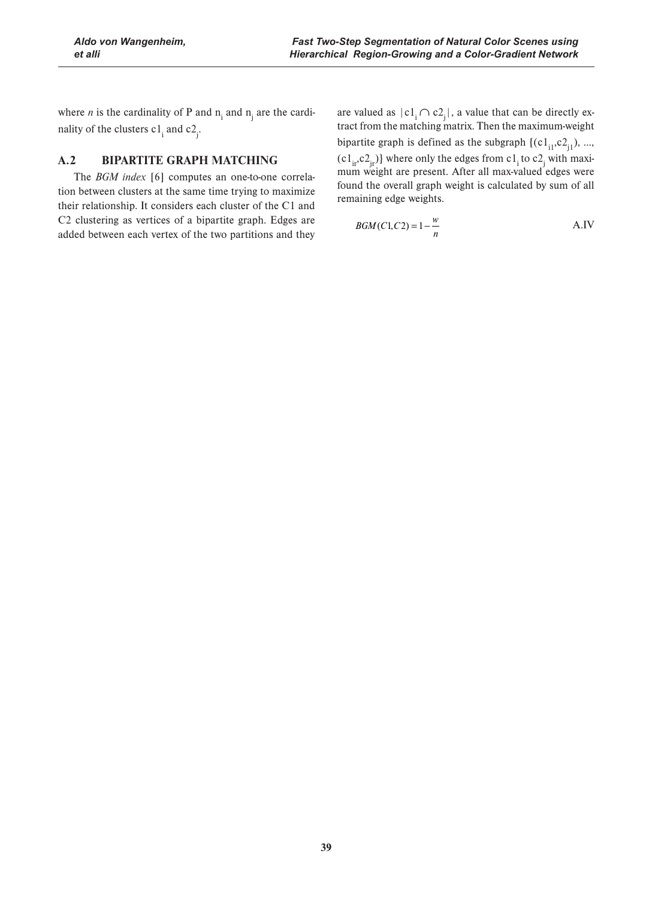where *n* is the cardinality of P and  $n_i$  and  $n_j$  are the cardinality of the clusters  $c1_i$  and  $c2_j$ .

# **A.2 BIPARTITE GRAPH MATCHING**

The *BGM index* [6] computes an one-to-one correlation between clusters at the same time trying to maximize their relationship. It considers each cluster of the C1 and C2 clustering as vertices of a bipartite graph. Edges are added between each vertex of the two partitions and they

are valued as  $|c_1 \cap c_2|$ , a value that can be directly extract from the matching matrix. Then the maximum-weight bipartite graph is defined as the subgraph  $\{(c1_{i1},c2_{i1}), ...,$  $(c1_{ir}, c2_{jr})$  where only the edges from  $c1_i$  to  $c2_j$  with maximum weight are present. After all max-valued edges were found the overall graph weight is calculated by sum of all remaining edge weights.

$$
BGM(C1, C2) = 1 - \frac{w}{n}
$$
 A.IV